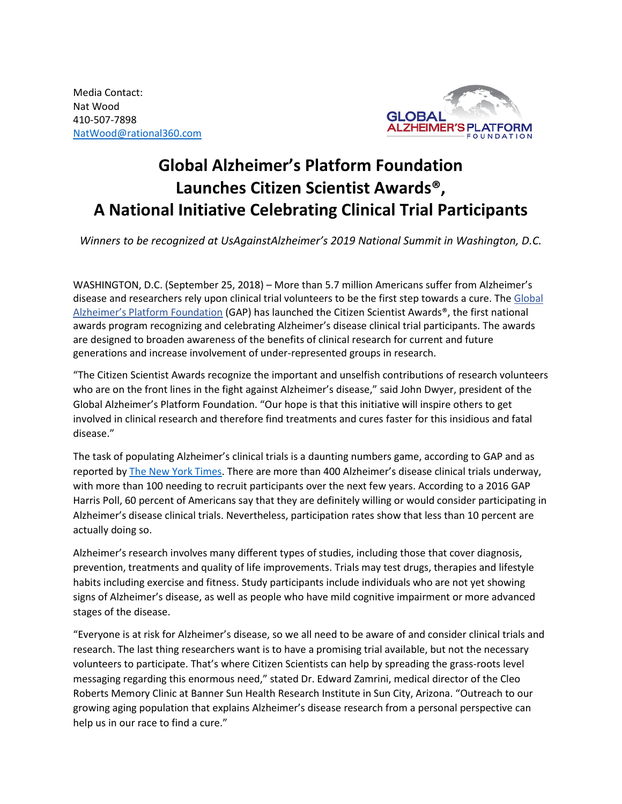Media Contact: Nat Wood 410-507-7898 [NatWood@rational360.com](mailto:NatWood@rational360.com)



## **Global Alzheimer's Platform Foundation Launches Citizen Scientist Awards® , A National Initiative Celebrating Clinical Trial Participants**

*Winners to be recognized at UsAgainstAlzheimer's 2019 National Summit in Washington, D.C.*

WASHINGTON, D.C. (September 25, 2018) – More than 5.7 million Americans suffer from Alzheimer's disease and researchers rely upon clinical trial volunteers to be the first step towards a cure. The [Global](http://globalalzplatform.org/)  [Alzheimer's Platform Foundation](http://globalalzplatform.org/) (GAP) has launched the Citizen Scientist Awards®, the first national awards program recognizing and celebrating Alzheimer's disease clinical trial participants. The awards are designed to broaden awareness of the benefits of clinical research for current and future generations and increase involvement of under-represented groups in research.

"The Citizen Scientist Awards recognize the important and unselfish contributions of research volunteers who are on the front lines in the fight against Alzheimer's disease," said John Dwyer, president of the Global Alzheimer's Platform Foundation. "Our hope is that this initiative will inspire others to get involved in clinical research and therefore find treatments and cures faster for this insidious and fatal disease."

The task of populating Alzheimer's clinical trials is a daunting numbers game, according to GAP and as reported b[y The New York Times.](https://nyti.ms/2LLTPfS) There are more than 400 Alzheimer's disease clinical trials underway, with more than 100 needing to recruit participants over the next few years. According to a 2016 GAP Harris Poll, 60 percent of Americans say that they are definitely willing or would consider participating in Alzheimer's disease clinical trials. Nevertheless, participation rates show that less than 10 percent are actually doing so.

Alzheimer's research involves many different types of studies, including those that cover diagnosis, prevention, treatments and quality of life improvements. Trials may test drugs, therapies and lifestyle habits including exercise and fitness. Study participants include individuals who are not yet showing signs of Alzheimer's disease, as well as people who have mild cognitive impairment or more advanced stages of the disease.

"Everyone is at risk for Alzheimer's disease, so we all need to be aware of and consider clinical trials and research. The last thing researchers want is to have a promising trial available, but not the necessary volunteers to participate. That's where Citizen Scientists can help by spreading the grass-roots level messaging regarding this enormous need," stated Dr. Edward Zamrini, medical director of the Cleo Roberts Memory Clinic at Banner Sun Health Research Institute in Sun City, Arizona. "Outreach to our growing aging population that explains Alzheimer's disease research from a personal perspective can help us in our race to find a cure."